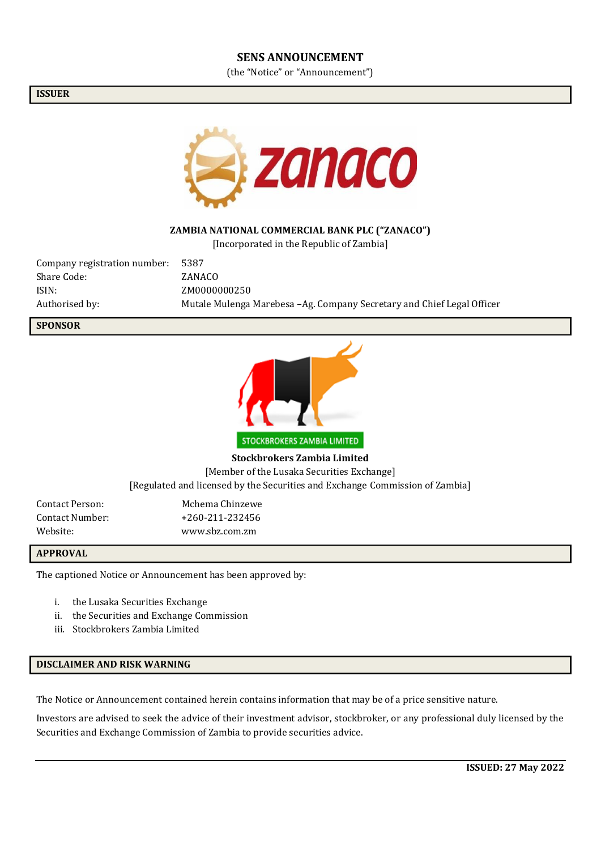#### **SENS ANNOUNCEMENT**

(the "Notice" or "Announcement")

#### **ISSUER**



### **ZAMBIA NATIONAL COMMERCIAL BANK PLC ("ZANACO")**

[Incorporated in the Republic of Zambia]

| Company registration number: | 5387                                                                    |
|------------------------------|-------------------------------------------------------------------------|
| Share Code:                  | ZANACO                                                                  |
| ISIN:                        | ZM0000000250                                                            |
| Authorised by:               | Mutale Mulenga Marebesa - Ag. Company Secretary and Chief Legal Officer |

#### **SPONSOR**



**Stockbrokers Zambia Limited**

[Member of the Lusaka Securities Exchange]

[Regulated and licensed by the Securities and Exchange Commission of Zambia]

| Contact Person: | Mchema Chinzewe   |
|-----------------|-------------------|
| Contact Number: | $+260-211-232456$ |
| Website: .      | www.sbz.com.zm    |

#### **APPROVAL**

The captioned Notice or Announcement has been approved by:

- i. the Lusaka Securities Exchange
- ii. the Securities and Exchange Commission
- iii. Stockbrokers Zambia Limited

#### **DISCLAIMER AND RISK WARNING**

The Notice or Announcement contained herein contains information that may be of a price sensitive nature.

Investors are advised to seek the advice of their investment advisor, stockbroker, or any professional duly licensed by the Securities and Exchange Commission of Zambia to provide securities advice.